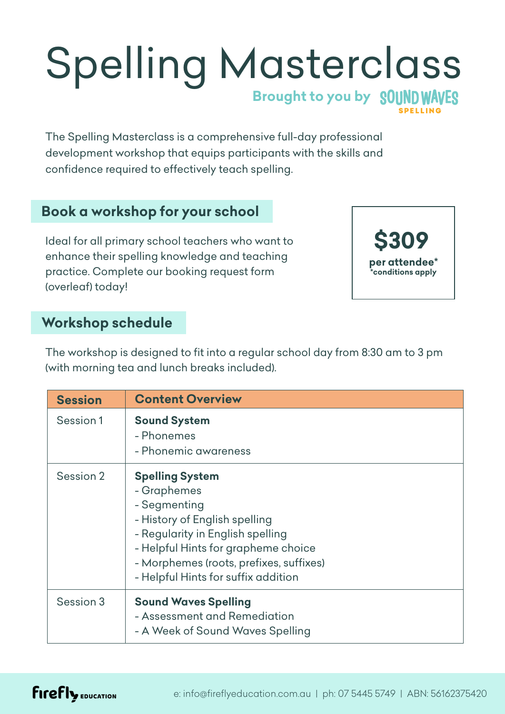# Spelling Masterclass **Brought to you by**

The Spelling Masterclass is a comprehensive full-day professional development workshop that equips participants with the skills and confidence required to effectively teach spelling.

## **Book a workshop for your school**

Ideal for all primary school teachers who want to enhance their spelling knowledge and teaching practice. Complete our booking request form (overleaf) today!



## **Workshop schedule**

The workshop is designed to fit into a regular school day from 8:30 am to 3 pm (with morning tea and lunch breaks included).

| <b>Session</b> | <b>Content Overview</b>                                                                                                                                                                                                                             |
|----------------|-----------------------------------------------------------------------------------------------------------------------------------------------------------------------------------------------------------------------------------------------------|
| Session 1      | <b>Sound System</b><br>- Phonemes<br>- Phonemic awareness                                                                                                                                                                                           |
| Session 2      | <b>Spelling System</b><br>- Graphemes<br>- Segmenting<br>- History of English spelling<br>- Regularity in English spelling<br>- Helpful Hints for grapheme choice<br>- Morphemes (roots, prefixes, suffixes)<br>- Helpful Hints for suffix addition |
| Session 3      | <b>Sound Waves Spelling</b><br>- Assessment and Remediation<br>- A Week of Sound Waves Spelling                                                                                                                                                     |